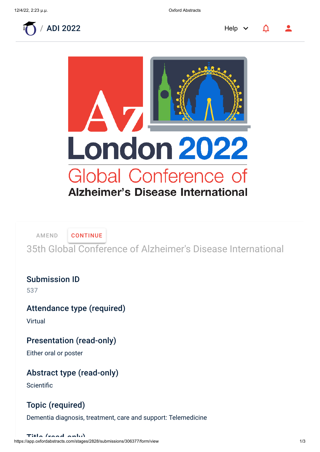



[AMEND](https://app.oxfordabstracts.com/stages/2828/submissions/306377/form/edit) [CONTINUE](https://app.oxfordabstracts.com/dashboard/events/2257)

35th Global Conference of Alzheimer's Disease International

### Submission ID

537

### Attendance type (required)

Virtual

### Presentation (read-only)

Either oral or poster

### Abstract type (read-only)

**Scientific** 

## Topic (required)

Dementia diagnosis, treatment, care and support: Telemedicine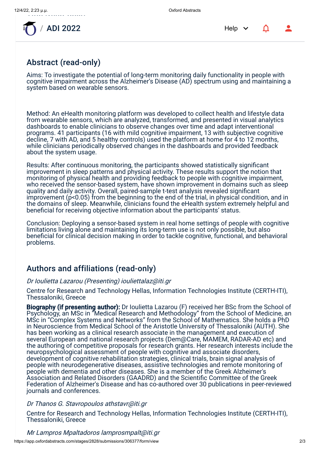

# Abstract (read-only)

Aims: To investigate the potential of long-term monitoring daily functionality in people with cognitive impairment across the Alzheimer's Disease (AD) spectrum using and maintaining a system based on wearable sensors.

Method: An eHealth monitoring platform was developed to collect health and lifestyle data from wearable sensors, which are analyzed, transformed, and presented in visual analytics dashboards to enable clinicians to observe changes over time and adapt interventional programs. 41 participants (16 with mild cognitive impairment, 13 with subjective cognitive decline, 7 with AD, and 5 healthy controls) used the platform at home for 4 to 12 months, while clinicians periodically observed changes in the dashboards and provided feedback about the system usage.

Results: After continuous monitoring, the participants showed statistically significant improvement in sleep patterns and physical activity. These results support the notion that monitoring of physical health and providing feedback to people with cognitive impairment, who received the sensor-based system, have shown improvement in domains such as sleep quality and daily activity. Overall, paired-sample t-test analysis revealed significant improvement (p<0.05) from the beginning to the end of the trial, in physical condition, and in the domains of sleep. Meanwhile, clinicians found the eHealth system extremely helpful and beneficial for receiving objective information about the participants' status.

Conclusion: Deploying a sensor-based system in real home settings of people with cognitive limitations living alone and maintaining its long-term use is not only possible, but also beneficial for clinical decision making in order to tackle cognitive, functional, and behavioral problems.

## Authors and affiliations (read-only)

#### Dr Ioulietta Lazarou (Presenting) iouliettalaz@iti.gr

Centre for Research and Technology Hellas, Information Technologies Institute (CERTH-ITI), Thessaloniki, Greece

Biography (if presenting author): Dr Ioulietta Lazarou (F) received her BSc from the School of Psychology, an MSc in "Medical Research and Methodology" from the School of Medicine, an MSc in "Complex Systems and Networks" from the School of Mathematics. She holds a PhD in Neuroscience from Medical School of the Aristotle University of Thessaloniki (AUTH). She has been working as a clinical research associate in the management and execution of several European and national research projects (Dem@Care, MAMEM, RADAR-AD etc) and the authoring of competitive proposals for research grants. Her research interests include the neuropsychological assessment of people with cognitive and associate disorders, development of cognitive rehabilitation strategies, clinical trials, brain signal analysis of people with neurodegenerative diseases, assistive technologies and remote monitoring of people with dementia and other diseases. She is a member of the Greek Alzheimer's Association and Related Disorders (GAADRD) and the Scientific Committee of the Greek Federation of Alzheimer's Disease and has co-authored over 30 publications in peer-reviewed journals and conferences.

#### Dr Thanos G. Stavropoulos athstavr@iti.gr

Centre for Research and Technology Hellas, Information Technologies Institute (CERTH-ITI), Thessaloniki, Greece

Mr Lampros Mpaltadoros lamprosmpalt@iti.gr